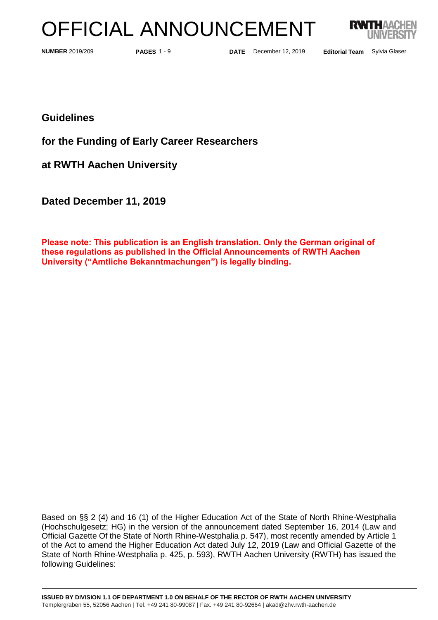# OFFICIAL ANNOUNCEMENT



**PAGES** 1 - 9

**NUMBER 2019/209 <b>EXECUTE:** PAGES 1 - 9 **DATE** December 12, 2019

Editorial Team Sylvia Glaser

**Guidelines**

**for the Funding of Early Career Researchers**

**at RWTH Aachen University**

**Dated December 11, 2019**

**Please note: This publication is an English translation. Only the German original of these regulations as published in the Official Announcements of RWTH Aachen University ("Amtliche Bekanntmachungen") is legally binding.**

Based on §§ 2 (4) and 16 (1) of the Higher Education Act of the State of North Rhine-Westphalia (Hochschulgesetz; HG) in the version of the announcement dated September 16, 2014 (Law and Official Gazette Of the State of North Rhine-Westphalia p. 547), most recently amended by Article 1 of the Act to amend the Higher Education Act dated July 12, 2019 (Law and Official Gazette of the State of North Rhine-Westphalia p. 425, p. 593), RWTH Aachen University (RWTH) has issued the following Guidelines: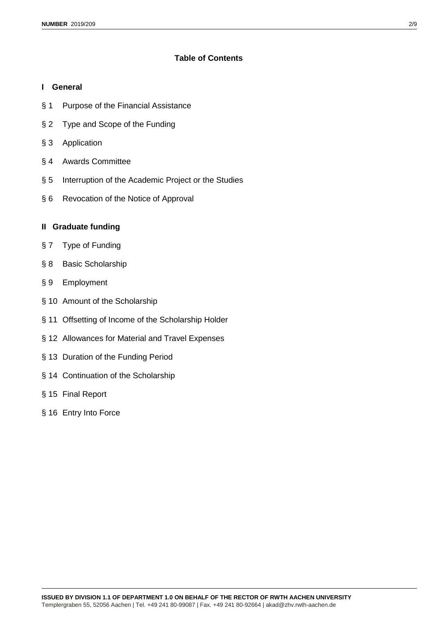# **Table of Contents**

#### **I General**

- § 1 Purpose of the Financial Assistance
- § 2 Type and Scope of the Funding
- § 3 Application
- § 4 Awards Committee
- § 5 Interruption of the Academic Project or the Studies
- § 6 Revocation of the Notice of Approval

# **II Graduate funding**

- § 7 Type of Funding
- § 8 Basic Scholarship
- § 9 Employment
- § 10 Amount of the Scholarship
- § 11 Offsetting of Income of the Scholarship Holder
- § 12 Allowances for Material and Travel Expenses
- § 13 Duration of the Funding Period
- § 14 Continuation of the Scholarship
- § 15 Final Report
- § 16 Entry Into Force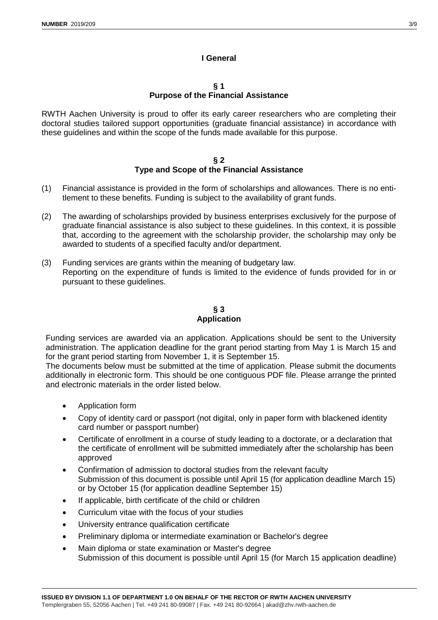# **I General**

#### **§ 1 Purpose of the Financial Assistance**

RWTH Aachen University is proud to offer its early career researchers who are completing their doctoral studies tailored support opportunities (graduate financial assistance) in accordance with these guidelines and within the scope of the funds made available for this purpose.

#### **§ 2 Type and Scope of the Financial Assistance**

- (1) Financial assistance is provided in the form of scholarships and allowances. There is no entitlement to these benefits. Funding is subject to the availability of grant funds.
- (2) The awarding of scholarships provided by business enterprises exclusively for the purpose of graduate financial assistance is also subject to these guidelines. In this context, it is possible that, according to the agreement with the scholarship provider, the scholarship may only be awarded to students of a specified faculty and/or department.
- (3) Funding services are grants within the meaning of budgetary law. Reporting on the expenditure of funds is limited to the evidence of funds provided for in or pursuant to these guidelines.

# **§ 3 Application**

Funding services are awarded via an application. Applications should be sent to the University administration. The application deadline for the grant period starting from May 1 is March 15 and for the grant period starting from November 1, it is September 15.

The documents below must be submitted at the time of application. Please submit the documents additionally in electronic form. This should be one contiguous PDF file. Please arrange the printed and electronic materials in the order listed below.

- Application form
- Copy of identity card or passport (not digital, only in paper form with blackened identity card number or passport number)
- Certificate of enrollment in a course of study leading to a doctorate, or a declaration that the certificate of enrollment will be submitted immediately after the scholarship has been approved
- Confirmation of admission to doctoral studies from the relevant faculty Submission of this document is possible until April 15 (for application deadline March 15) or by October 15 (for application deadline September 15)
- If applicable, birth certificate of the child or children
- Curriculum vitae with the focus of your studies
- University entrance qualification certificate
- Preliminary diploma or intermediate examination or Bachelor's degree
- Main diploma or state examination or Master's degree Submission of this document is possible until April 15 (for March 15 application deadline)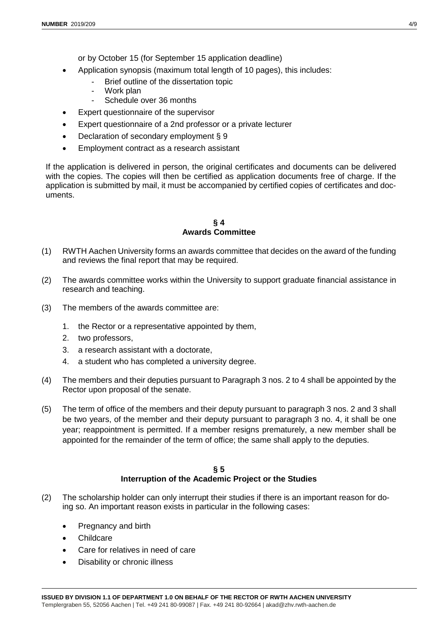or by October 15 (for September 15 application deadline)

- Application synopsis (maximum total length of 10 pages), this includes:
	- Brief outline of the dissertation topic
	- Work plan
	- Schedule over 36 months
- Expert questionnaire of the supervisor
- Expert questionnaire of a 2nd professor or a private lecturer
- Declaration of secondary employment § 9
- Employment contract as a research assistant

If the application is delivered in person, the original certificates and documents can be delivered with the copies. The copies will then be certified as application documents free of charge. If the application is submitted by mail, it must be accompanied by certified copies of certificates and documents.

#### **§ 4 Awards Committee**

- (1) RWTH Aachen University forms an awards committee that decides on the award of the funding and reviews the final report that may be required.
- (2) The awards committee works within the University to support graduate financial assistance in research and teaching.
- (3) The members of the awards committee are:
	- 1. the Rector or a representative appointed by them,
	- 2. two professors,
	- 3. a research assistant with a doctorate,
	- 4. a student who has completed a university degree.
- (4) The members and their deputies pursuant to Paragraph 3 nos. 2 to 4 shall be appointed by the Rector upon proposal of the senate.
- (5) The term of office of the members and their deputy pursuant to paragraph 3 nos. 2 and 3 shall be two years, of the member and their deputy pursuant to paragraph 3 no. 4, it shall be one year; reappointment is permitted. If a member resigns prematurely, a new member shall be appointed for the remainder of the term of office; the same shall apply to the deputies.

#### **§ 5 Interruption of the Academic Project or the Studies**

- (2) The scholarship holder can only interrupt their studies if there is an important reason for doing so. An important reason exists in particular in the following cases:
	- Pregnancy and birth
	- Childcare
	- Care for relatives in need of care
	- Disability or chronic illness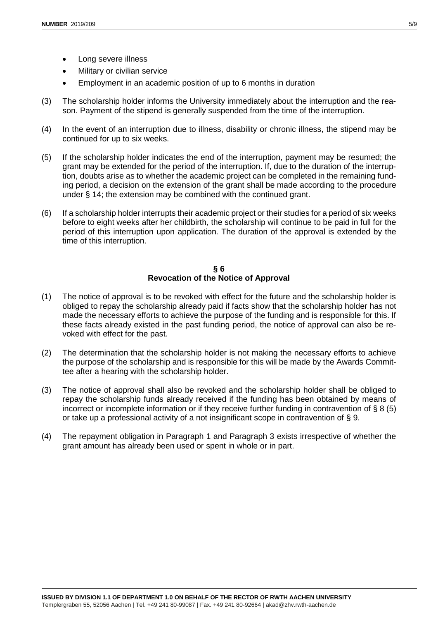- Military or civilian service
- Employment in an academic position of up to 6 months in duration
- (3) The scholarship holder informs the University immediately about the interruption and the reason. Payment of the stipend is generally suspended from the time of the interruption.
- (4) In the event of an interruption due to illness, disability or chronic illness, the stipend may be continued for up to six weeks.
- (5) If the scholarship holder indicates the end of the interruption, payment may be resumed; the grant may be extended for the period of the interruption. If, due to the duration of the interruption, doubts arise as to whether the academic project can be completed in the remaining funding period, a decision on the extension of the grant shall be made according to the procedure under § 14; the extension may be combined with the continued grant.
- (6) If a scholarship holder interrupts their academic project or their studies for a period of six weeks before to eight weeks after her childbirth, the scholarship will continue to be paid in full for the period of this interruption upon application. The duration of the approval is extended by the time of this interruption.

#### **§ 6 Revocation of the Notice of Approval**

- (1) The notice of approval is to be revoked with effect for the future and the scholarship holder is obliged to repay the scholarship already paid if facts show that the scholarship holder has not made the necessary efforts to achieve the purpose of the funding and is responsible for this. If these facts already existed in the past funding period, the notice of approval can also be revoked with effect for the past.
- (2) The determination that the scholarship holder is not making the necessary efforts to achieve the purpose of the scholarship and is responsible for this will be made by the Awards Committee after a hearing with the scholarship holder.
- (3) The notice of approval shall also be revoked and the scholarship holder shall be obliged to repay the scholarship funds already received if the funding has been obtained by means of incorrect or incomplete information or if they receive further funding in contravention of § 8 (5) or take up a professional activity of a not insignificant scope in contravention of § 9.
- (4) The repayment obligation in Paragraph 1 and Paragraph 3 exists irrespective of whether the grant amount has already been used or spent in whole or in part.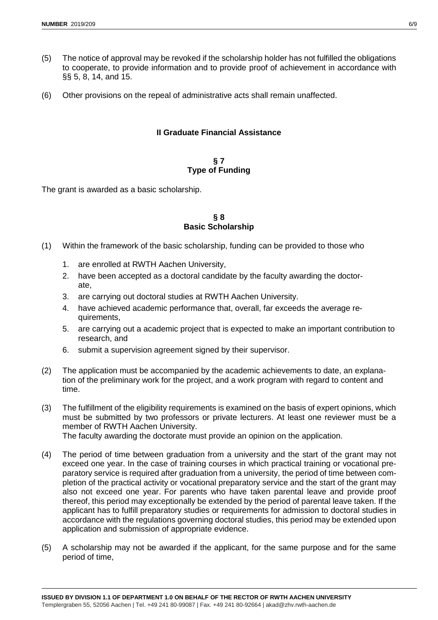- (5) The notice of approval may be revoked if the scholarship holder has not fulfilled the obligations to cooperate, to provide information and to provide proof of achievement in accordance with §§ 5, 8, 14, and 15.
- (6) Other provisions on the repeal of administrative acts shall remain unaffected.

## **II Graduate Financial Assistance**

#### **§ 7 Type of Funding**

The grant is awarded as a basic scholarship.

#### **§ 8 Basic Scholarship**

- (1) Within the framework of the basic scholarship, funding can be provided to those who
	- 1. are enrolled at RWTH Aachen University,
	- 2. have been accepted as a doctoral candidate by the faculty awarding the doctorate,
	- 3. are carrying out doctoral studies at RWTH Aachen University.
	- 4. have achieved academic performance that, overall, far exceeds the average requirements,
	- 5. are carrying out a academic project that is expected to make an important contribution to research, and
	- 6. submit a supervision agreement signed by their supervisor.
- (2) The application must be accompanied by the academic achievements to date, an explanation of the preliminary work for the project, and a work program with regard to content and time.
- (3) The fulfillment of the eligibility requirements is examined on the basis of expert opinions, which must be submitted by two professors or private lecturers. At least one reviewer must be a member of RWTH Aachen University. The faculty awarding the doctorate must provide an opinion on the application.
- (4) The period of time between graduation from a university and the start of the grant may not exceed one year. In the case of training courses in which practical training or vocational preparatory service is required after graduation from a university, the period of time between completion of the practical activity or vocational preparatory service and the start of the grant may also not exceed one year. For parents who have taken parental leave and provide proof thereof, this period may exceptionally be extended by the period of parental leave taken. If the applicant has to fulfill preparatory studies or requirements for admission to doctoral studies in accordance with the regulations governing doctoral studies, this period may be extended upon application and submission of appropriate evidence.
- (5) A scholarship may not be awarded if the applicant, for the same purpose and for the same period of time,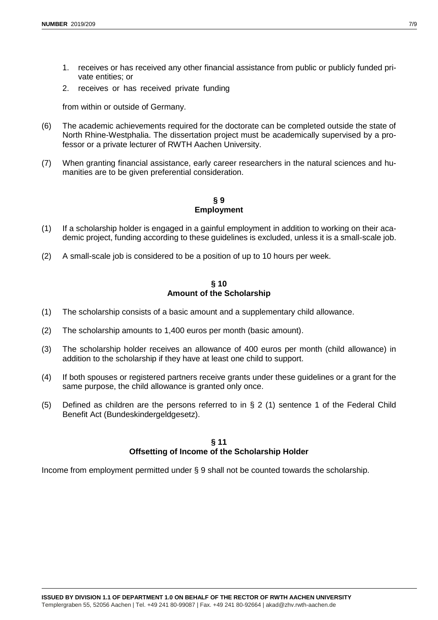- 1. receives or has received any other financial assistance from public or publicly funded private entities; or
- 2. receives or has received private funding

from within or outside of Germany.

- (6) The academic achievements required for the doctorate can be completed outside the state of North Rhine-Westphalia. The dissertation project must be academically supervised by a professor or a private lecturer of RWTH Aachen University.
- (7) When granting financial assistance, early career researchers in the natural sciences and humanities are to be given preferential consideration.

#### **§ 9 Employment**

- (1) If a scholarship holder is engaged in a gainful employment in addition to working on their academic project, funding according to these guidelines is excluded, unless it is a small-scale job.
- (2) A small-scale job is considered to be a position of up to 10 hours per week.

#### **§ 10 Amount of the Scholarship**

- (1) The scholarship consists of a basic amount and a supplementary child allowance.
- (2) The scholarship amounts to 1,400 euros per month (basic amount).
- (3) The scholarship holder receives an allowance of 400 euros per month (child allowance) in addition to the scholarship if they have at least one child to support.
- (4) If both spouses or registered partners receive grants under these guidelines or a grant for the same purpose, the child allowance is granted only once.
- (5) Defined as children are the persons referred to in § 2 (1) sentence 1 of the Federal Child Benefit Act (Bundeskindergeldgesetz).

#### **§ 11 Offsetting of Income of the Scholarship Holder**

Income from employment permitted under § 9 shall not be counted towards the scholarship.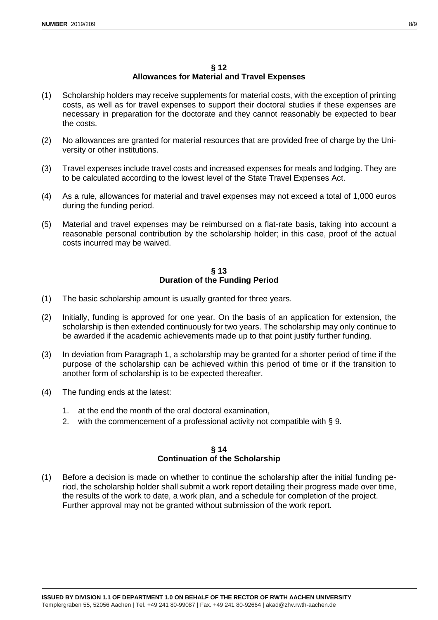#### **§ 12 Allowances for Material and Travel Expenses**

- (1) Scholarship holders may receive supplements for material costs, with the exception of printing costs, as well as for travel expenses to support their doctoral studies if these expenses are necessary in preparation for the doctorate and they cannot reasonably be expected to bear the costs.
- (2) No allowances are granted for material resources that are provided free of charge by the University or other institutions.
- (3) Travel expenses include travel costs and increased expenses for meals and lodging. They are to be calculated according to the lowest level of the State Travel Expenses Act.
- (4) As a rule, allowances for material and travel expenses may not exceed a total of 1,000 euros during the funding period.
- (5) Material and travel expenses may be reimbursed on a flat-rate basis, taking into account a reasonable personal contribution by the scholarship holder; in this case, proof of the actual costs incurred may be waived.

## **§ 13 Duration of the Funding Period**

- (1) The basic scholarship amount is usually granted for three years.
- (2) Initially, funding is approved for one year. On the basis of an application for extension, the scholarship is then extended continuously for two years. The scholarship may only continue to be awarded if the academic achievements made up to that point justify further funding.
- (3) In deviation from Paragraph 1, a scholarship may be granted for a shorter period of time if the purpose of the scholarship can be achieved within this period of time or if the transition to another form of scholarship is to be expected thereafter.
- (4) The funding ends at the latest:
	- 1. at the end the month of the oral doctoral examination,
	- 2. with the commencement of a professional activity not compatible with § 9.

# **§ 14 Continuation of the Scholarship**

(1) Before a decision is made on whether to continue the scholarship after the initial funding period, the scholarship holder shall submit a work report detailing their progress made over time, the results of the work to date, a work plan, and a schedule for completion of the project. Further approval may not be granted without submission of the work report.